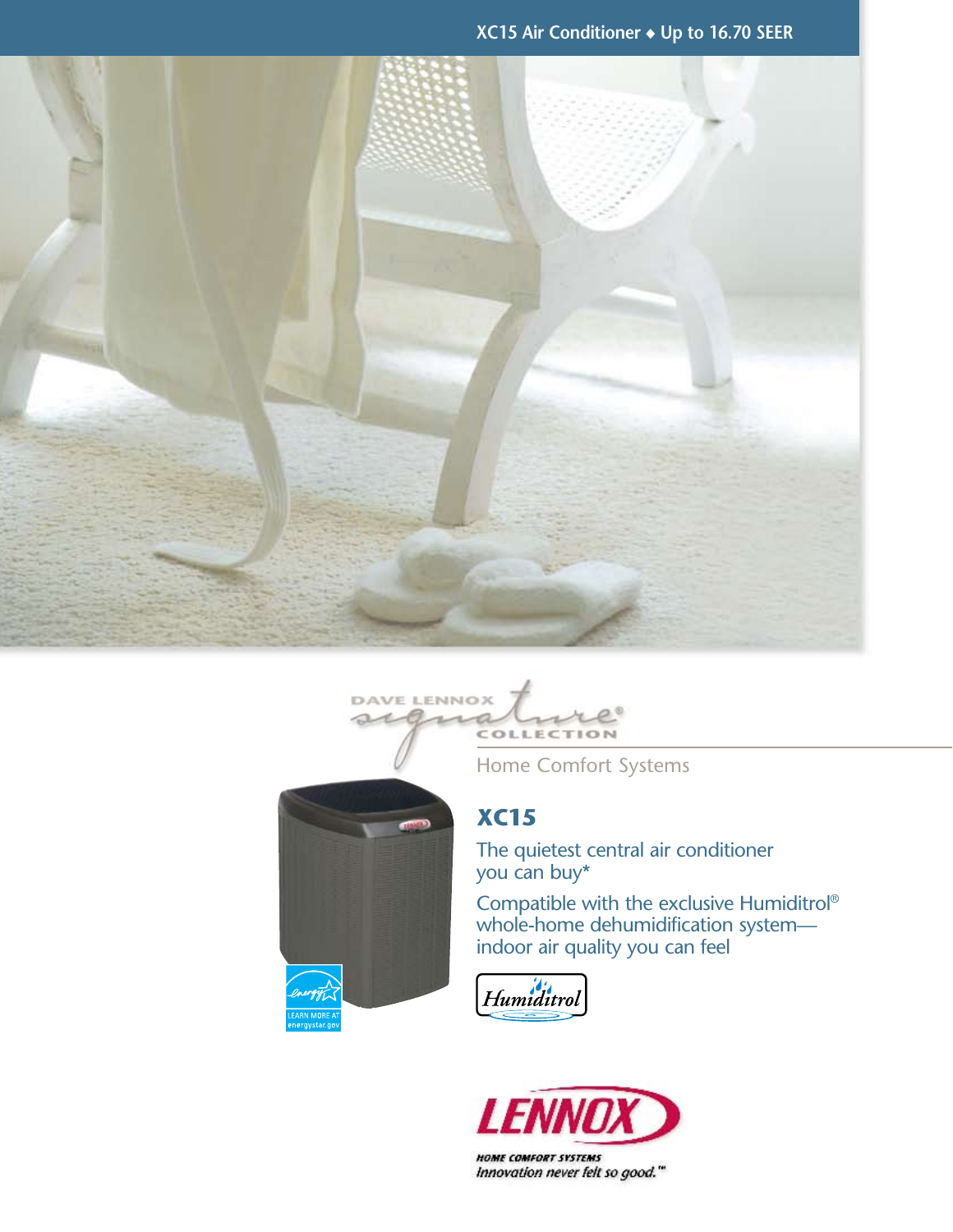**XC15 Air Conditioner** ◆ **Up to 16.70 SEER**





Home Comfort Systems

## **XC15**

The quietest central air conditioner you can buy\*

Compatible with the exclusive Humiditrol® whole-home dehumidification system indoor air quality you can feel





Innovation never felt so good."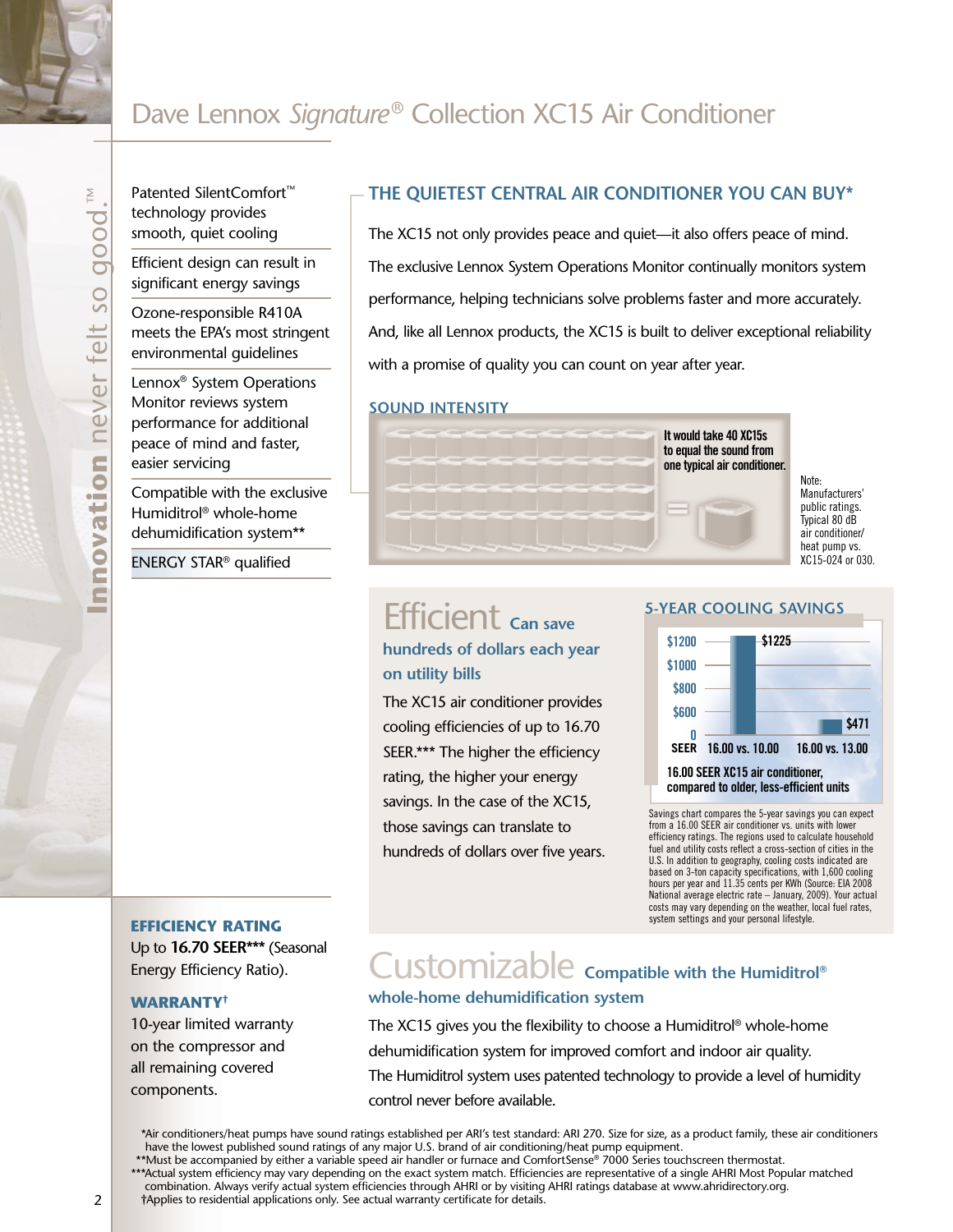## Dave Lennox *Signature*® Collection XC15 Air Conditioner

Patented SilentComfort™ technology provides smooth, quiet cooling

Efficient design can result in significant energy savings

Ozone-responsible R410A meets the EPA's most stringent environmental guidelines

Lennox® System Operations Monitor reviews system performance for additional peace of mind and faster, easier servicing

**Innovation** never felt so good.™

nnovation

never felt so

 $\geq$ 

qood

Compatible with the exclusive Humiditrol® whole-home dehumidification system\*\*

ENERGY STAR® qualified

#### **The quietest central air conditioner you can buy\***

The XC15 not only provides peace and quiet—it also offers peace of mind. The exclusive Lennox System Operations Monitor continually monitors system performance, helping technicians solve problems faster and more accurately. And, like all Lennox products, the XC15 is built to deliver exceptional reliability with a promise of quality you can count on year after year.

#### **Sound Intensity**



Note: Manufacturers' public ratings. Typical 80 dB air conditioner/ heat pump vs. XC15-024 or 030.

# Efficient **Can save**

### **hundreds of dollars each year on utility bills**

The XC15 air conditioner provides cooling efficiencies of up to 16.70 SEER.\*\*\* The higher the efficiency rating, the higher your energy savings. In the case of the XC15, those savings can translate to hundreds of dollars over five years.

#### **5-year cooling savings**



Savings chart compares the 5-year savings you can expect from a 16.00 SEER air conditioner vs. units with lower efficiency ratings. The regions used to calculate household fuel and utility costs reflect a cross-section of cities in the U.S. In addition to geography, cooling costs indicated are based on 3-ton capacity specifications, with 1,600 cooling hours per year and 11.35 cents per KWh (Source: EIA 2008 National average electric rate – January, 2009). Your actual costs may vary depending on the weather, local fuel rates, system settings and your personal lifestyle.

#### **efficiency rating**

Up to **16.70 SEER\*\*\*** (Seasonal Energy Efficiency Ratio).

#### **Warranty†**

10-year limited warranty on the compressor and all remaining covered components.

## Customizable **Compatible with the Humiditrol® whole-home dehumidification system**

The XC15 gives you the flexibility to choose a Humiditrol® whole-home dehumidification system for improved comfort and indoor air quality. The Humiditrol system uses patented technology to provide a level of humidity control never before available.

\*Air conditioners/heat pumps have sound ratings established per ARI's test standard: ARI 270. Size for size, as a product family, these air conditioners have the lowest published sound ratings of any major U.S. brand of air conditioning/heat pump equipment.

\*\*Must be accompanied by either a variable speed air handler or furnace and ComfortSense® 7000 Series touchscreen thermostat.

\*\*\*Actual system efficiency may vary depending on the exact system match. Efficiencies are representative of a single AHRI Most Popular matched

combination. Always verify actual system efficiencies through AHRI or by visiting AHRI ratings database at www.ahridirectory.org.

†Applies to residential applications only. See actual warranty certificate for details.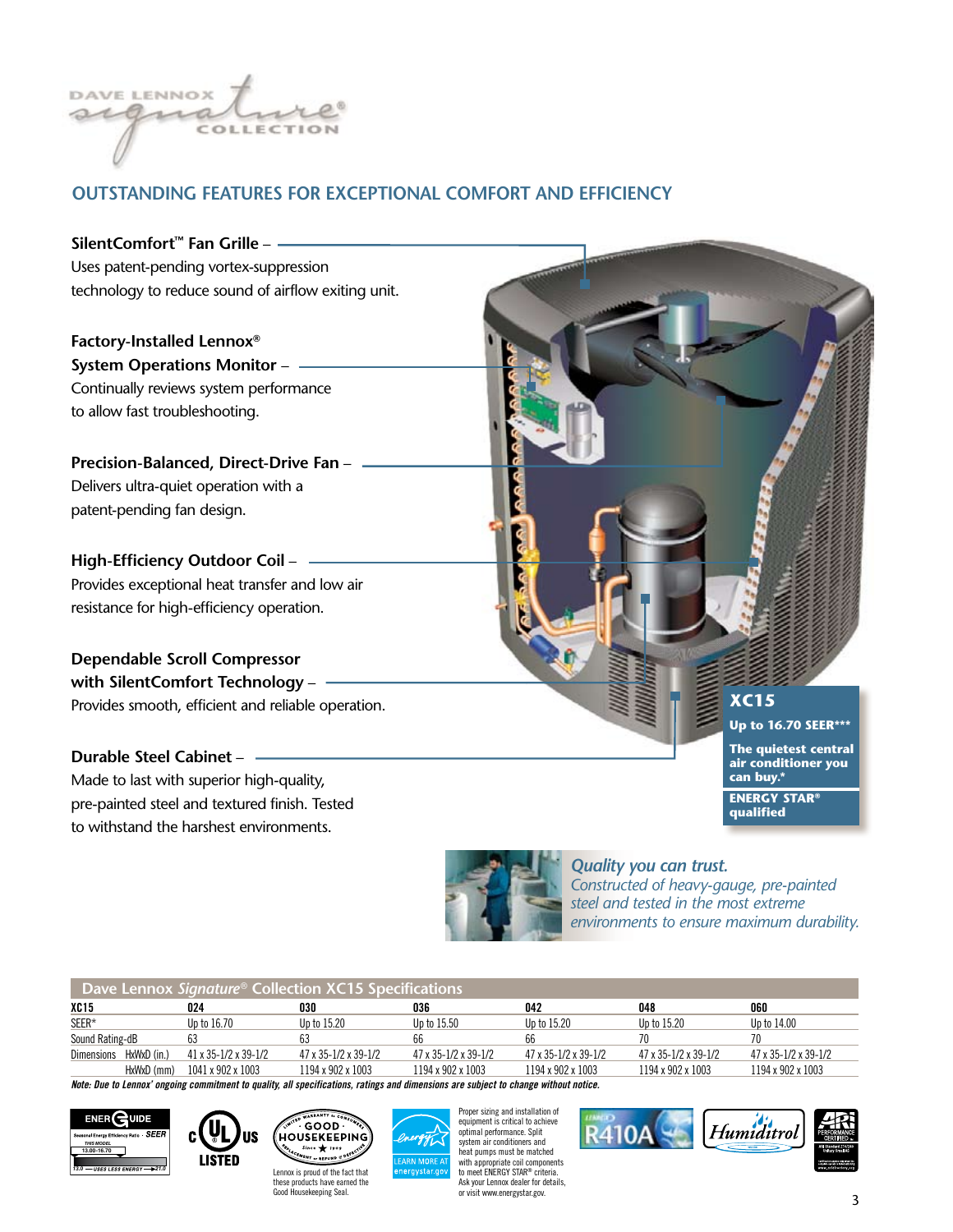

### **outstanding features for exceptional comfort and efficiency**

**SilentComfort™ Fan Grille** – Uses patent-pending vortex-suppression technology to reduce sound of airflow exiting unit.

**Factory-Installed Lennox® System Operations Monitor** – Continually reviews system performance to allow fast troubleshooting.

**Precision-Balanced, Direct-Drive Fan** – Delivers ultra-quiet operation with a patent-pending fan design.

**High-Efficiency Outdoor Coil** – Provides exceptional heat transfer and low air resistance for high-efficiency operation.

**Dependable Scroll Compressor with SilentComfort Technology** – Provides smooth, efficient and reliable operation.

**Durable Steel Cabinet** – Made to last with superior high-quality, pre-painted steel and textured finish. Tested to withstand the harshest environments.



**Up to 16.70 SEER\*\*\***

**The quietest central air conditioner you can buy.\*** 

**energy Star® qualified**



*Quality you can trust. Constructed of heavy-gauge, pre-painted steel and tested in the most extreme environments to ensure maximum durability.*

| Dave Lennox Signature® Collection $XC15$ Specifications |                      |                                      |                                      |                                      |                                      |                                      |
|---------------------------------------------------------|----------------------|--------------------------------------|--------------------------------------|--------------------------------------|--------------------------------------|--------------------------------------|
| <b>XC15</b>                                             | 024                  | 030                                  | 036                                  | 042                                  | 048                                  | 060                                  |
| SEER*                                                   | Up to 16.70          | Up to 15.20                          | Up to 15.50                          | Up to 15.20                          | Up to 15.20                          | Up to 14.00                          |
| Sound Rating-dB                                         | 63                   | 63                                   | 66                                   | 66                                   | 70                                   |                                      |
| HxWxD (in.)<br><b>Dimensions</b>                        | 41 x 35-1/2 x 39-1/2 | $47 \times 35 - 1/2 \times 39 - 1/2$ | $47 \times 35 - 1/2 \times 39 - 1/2$ | $47 \times 35 - 1/2 \times 39 - 1/2$ | $47 \times 35 - 1/2 \times 39 - 1/2$ | $47 \times 35 - 1/2 \times 39 - 1/2$ |
| HxWxD (mm)                                              | 1041 x 902 x 1003    | 1194 x 902 x 1003                    | 1194 x 902 x 1003                    | 1194 x 902 x 1003                    | 1194 x 902 x 1003                    | 1194 x 902 x 1003                    |

*Note: Due to Lennox' ongoing commitment to quality, all specifications, ratings and dimensions are subject to change without notice.*







Proper sizing and installation of equipment is critical to achieve optimal performance. Split system air conditioners and heat pumps must be matched with appropriate coil components to meet ENERGY STAR<sup>®</sup> criteria Ask your Lennox dealer for details, or visit www.energystar.gov.